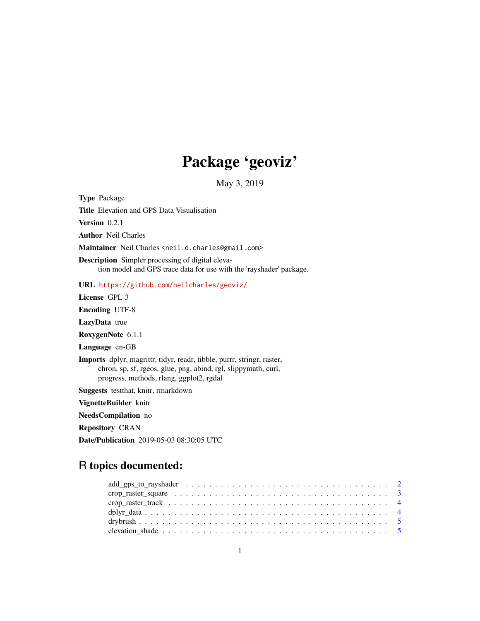## Package 'geoviz'

May 3, 2019

Type Package Title Elevation and GPS Data Visualisation Version 0.2.1 Author Neil Charles Maintainer Neil Charles <neil.d.charles@gmail.com> Description Simpler processing of digital elevation model and GPS trace data for use with the 'rayshader' package. URL <https://github.com/neilcharles/geoviz/> License GPL-3 Encoding UTF-8 LazyData true RoxygenNote 6.1.1 Language en-GB Imports dplyr, magrittr, tidyr, readr, tibble, purrr, stringr, raster, chron, sp, sf, rgeos, glue, png, abind, rgl, slippymath, curl, progress, methods, rlang, ggplot2, rgdal Suggests testthat, knitr, rmarkdown VignetteBuilder knitr NeedsCompilation no Repository CRAN

Date/Publication 2019-05-03 08:30:05 UTC

## R topics documented: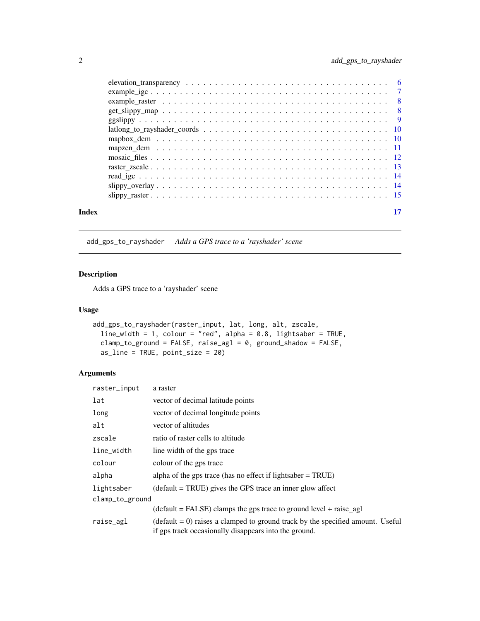<span id="page-1-0"></span>

|       | $lationality to rayshader coordinates         10$ |  |
|-------|---------------------------------------------------|--|
|       |                                                   |  |
|       |                                                   |  |
|       |                                                   |  |
|       |                                                   |  |
|       |                                                   |  |
|       |                                                   |  |
|       |                                                   |  |
| Index |                                                   |  |

add\_gps\_to\_rayshader *Adds a GPS trace to a 'rayshader' scene*

## Description

Adds a GPS trace to a 'rayshader' scene

#### Usage

```
add_gps_to_rayshader(raster_input, lat, long, alt, zscale,
 line_width = 1, colour = "red", alpha = 0.8, lightsaber = TRUE,
 clamp_to_ground = FALSE, raise\_ag1 = 0, ground\_shadow = FALSE,as_line = TRUE, point_size = 20)
```
## Arguments

| raster_input    | a raster                                                                                                                                         |
|-----------------|--------------------------------------------------------------------------------------------------------------------------------------------------|
| lat             | vector of decimal latitude points                                                                                                                |
| long            | vector of decimal longitude points                                                                                                               |
| alt             | vector of altitudes                                                                                                                              |
| zscale          | ratio of raster cells to altitude                                                                                                                |
| line_width      | line width of the gps trace                                                                                                                      |
| colour          | colour of the gps trace                                                                                                                          |
| alpha           | alpha of the gps trace (has no effect if lightsaber $=$ TRUE)                                                                                    |
| lightsaber      | $(default = TRUE)$ gives the GPS trace an inner glow affect                                                                                      |
| clamp_to_ground |                                                                                                                                                  |
|                 | $(detault = FALSE)$ clamps the gps trace to ground level + raise_agl                                                                             |
| raise_agl       | $(\text{default} = 0)$ raises a clamped to ground track by the specified amount. Useful<br>if gps track occasionally disappears into the ground. |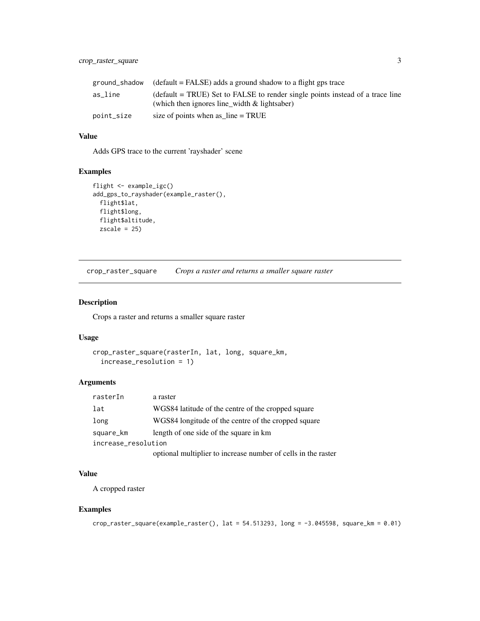## <span id="page-2-0"></span>crop\_raster\_square 3

| ground_shadow | $\beta$ (default = FALSE) adds a ground shadow to a flight gps trace                                                          |
|---------------|-------------------------------------------------------------------------------------------------------------------------------|
| as line       | (default = TRUE) Set to FALSE to render single points instead of a trace line<br>(which then ignores line_width & lightsaber) |
| point_size    | size of points when as $\text{line} = \text{TRUE}$                                                                            |

#### Value

Adds GPS trace to the current 'rayshader' scene

## Examples

```
flight <- example_igc()
add_gps_to_rayshader(example_raster(),
  flight$lat,
  flight$long,
  flight$altitude,
  zscale = 25
```
crop\_raster\_square *Crops a raster and returns a smaller square raster*

#### Description

Crops a raster and returns a smaller square raster

#### Usage

```
crop_raster_square(rasterIn, lat, long, square_km,
  increase_resolution = 1)
```
## Arguments

| rasterIn            | a raster                                                      |  |  |  |  |  |
|---------------------|---------------------------------------------------------------|--|--|--|--|--|
| lat                 | WGS84 latitude of the centre of the cropped square            |  |  |  |  |  |
| long                | WGS84 longitude of the centre of the cropped square           |  |  |  |  |  |
| square_km           | length of one side of the square in km                        |  |  |  |  |  |
| increase_resolution |                                                               |  |  |  |  |  |
|                     | optional multiplier to increase number of cells in the raster |  |  |  |  |  |

#### Value

A cropped raster

## Examples

```
crop_raster_square(example_raster(), lat = 54.513293, long = -3.045598, square_km = 0.01)
```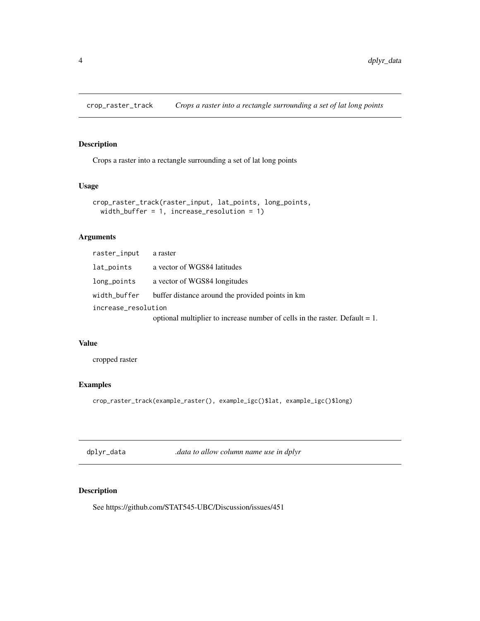<span id="page-3-0"></span>

## Description

Crops a raster into a rectangle surrounding a set of lat long points

#### Usage

```
crop_raster_track(raster_input, lat_points, long_points,
 width_buffer = 1, increase_resolution = 1)
```
## Arguments

| raster_input        | a raster                                                                       |
|---------------------|--------------------------------------------------------------------------------|
| lat_points          | a vector of WGS84 latitudes                                                    |
| long_points         | a vector of WGS84 longitudes                                                   |
| width_buffer        | buffer distance around the provided points in km                               |
| increase_resolution |                                                                                |
|                     | optional multiplier to increase number of cells in the raster. Default $= 1$ . |

#### Value

cropped raster

#### Examples

```
crop_raster_track(example_raster(), example_igc()$lat, example_igc()$long)
```
dplyr\_data *.data to allow column name use in dplyr*

## Description

See https://github.com/STAT545-UBC/Discussion/issues/451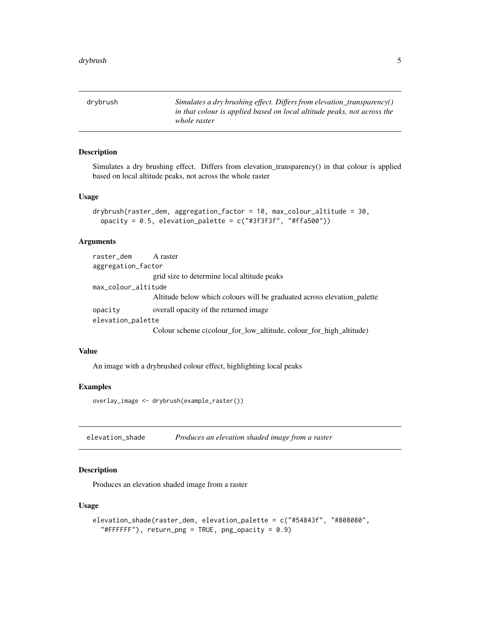<span id="page-4-0"></span>drybrush *Simulates a dry brushing effect. Differs from elevation\_transparency() in that colour is applied based on local altitude peaks, not across the whole raster*

#### Description

Simulates a dry brushing effect. Differs from elevation\_transparency() in that colour is applied based on local altitude peaks, not across the whole raster

#### Usage

```
drybrush(raster_dem, aggregation_factor = 10, max_colour_altitude = 30,
 opacity = 0.5, elevation_palette = c("#3f3f3f", "#ffa500"))
```
## Arguments

| raster_dem A raster |                                                                         |  |  |  |  |
|---------------------|-------------------------------------------------------------------------|--|--|--|--|
| aggregation_factor  |                                                                         |  |  |  |  |
|                     | grid size to determine local altitude peaks                             |  |  |  |  |
| max_colour_altitude |                                                                         |  |  |  |  |
|                     | Altitude below which colours will be graduated across elevation palette |  |  |  |  |
| opacity             | overall opacity of the returned image.                                  |  |  |  |  |
| elevation_palette   |                                                                         |  |  |  |  |
|                     | Colour scheme c(colour_for_low_altitude, colour_for_high_altitude)      |  |  |  |  |

#### Value

An image with a drybrushed colour effect, highlighting local peaks

#### Examples

overlay\_image <- drybrush(example\_raster())

elevation\_shade *Produces an elevation shaded image from a raster*

## Description

Produces an elevation shaded image from a raster

```
elevation_shade(raster_dem, elevation_palette = c("#54843f", "#808080",
  "#FFFFFF"), return\_png = TRUE, png\_opacity = 0.9)
```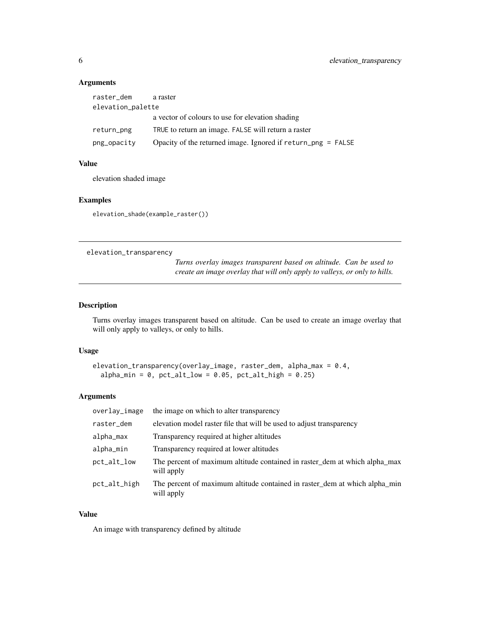## Arguments

| raster_dem        | a raster                                                        |  |  |  |  |
|-------------------|-----------------------------------------------------------------|--|--|--|--|
| elevation_palette |                                                                 |  |  |  |  |
|                   | a vector of colours to use for elevation shading                |  |  |  |  |
| return_png        | TRUE to return an image. FALSE will return a raster             |  |  |  |  |
| png_opacity       | Opacity of the returned image. Ignored if $return\_png = FALSE$ |  |  |  |  |

#### Value

elevation shaded image

#### Examples

elevation\_shade(example\_raster())

elevation\_transparency

*Turns overlay images transparent based on altitude. Can be used to create an image overlay that will only apply to valleys, or only to hills.*

## Description

Turns overlay images transparent based on altitude. Can be used to create an image overlay that will only apply to valleys, or only to hills.

## Usage

```
elevation_transparency(overlay_image, raster_dem, alpha_max = 0.4,
  alpha_min = 0, pt\_alt\_low = 0.05, pt\_alt\_high = 0.25)
```
## Arguments

| overlay_image | the image on which to alter transparency                                                 |
|---------------|------------------------------------------------------------------------------------------|
| raster_dem    | elevation model raster file that will be used to adjust transparency                     |
| alpha_max     | Transparency required at higher altitudes                                                |
| alpha_min     | Transparency required at lower altitudes                                                 |
| $pct_alt_low$ | The percent of maximum altitude contained in raster_dem at which alpha_max<br>will apply |
| pct_alt_high  | The percent of maximum altitude contained in raster_dem at which alpha_min<br>will apply |

## Value

An image with transparency defined by altitude

<span id="page-5-0"></span>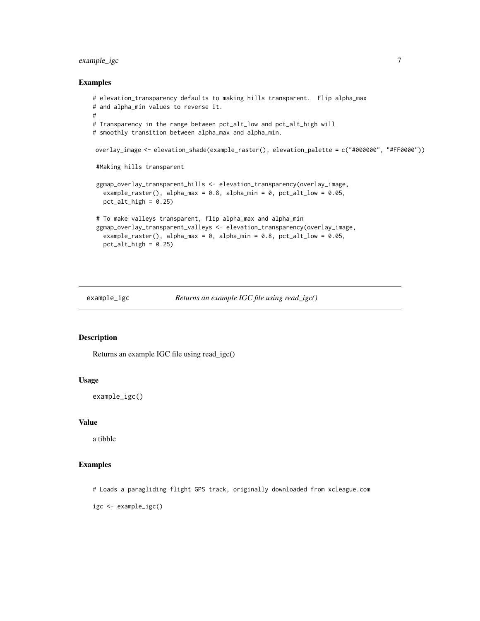## <span id="page-6-0"></span>example\_igc 7

#### Examples

```
# elevation_transparency defaults to making hills transparent. Flip alpha_max
# and alpha_min values to reverse it.
#
# Transparency in the range between pct_alt_low and pct_alt_high will
# smoothly transition between alpha_max and alpha_min.
overlay_image <- elevation_shade(example_raster(), elevation_palette = c("#000000", "#FF0000"))
 #Making hills transparent
ggmap_overlay_transparent_hills <- elevation_transparency(overlay_image,
  example_raster(), alpha_max = 0.8, alpha_min = 0, pct_alt_low = 0.05,
  pt\_alt\_high = 0.25# To make valleys transparent, flip alpha_max and alpha_min
 ggmap_overlay_transparent_valleys <- elevation_transparency(overlay_image,
   example_raster(), alpha_max = 0, alpha_min = 0.8, pct_alt_low = 0.05,
  pt\_alt\_high = 0.25
```

```
example_igc Returns an example IGC file using read_igc()
```
#### Description

Returns an example IGC file using read\_igc()

#### Usage

example\_igc()

#### Value

a tibble

## Examples

# Loads a paragliding flight GPS track, originally downloaded from xcleague.com

igc <- example\_igc()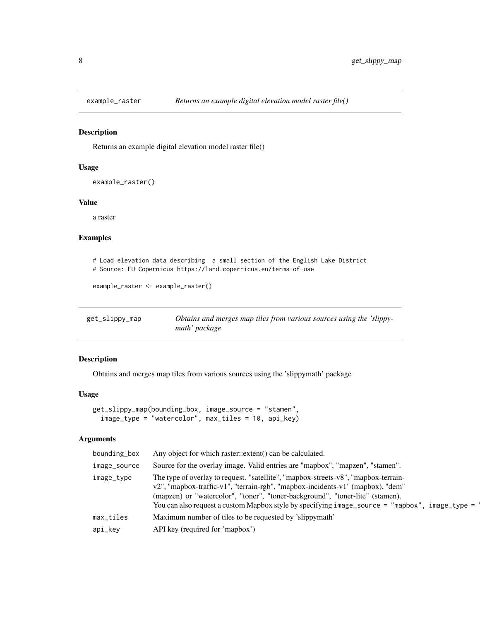<span id="page-7-0"></span>

#### Description

Returns an example digital elevation model raster file()

#### Usage

```
example_raster()
```
## Value

a raster

## Examples

```
# Load elevation data describing a small section of the English Lake District
# Source: EU Copernicus https://land.copernicus.eu/terms-of-use
```

```
example_raster <- example_raster()
```

| get_slippy_map | Obtains and merges map tiles from various sources using the 'slippy- |  |
|----------------|----------------------------------------------------------------------|--|
|                | math' package                                                        |  |

#### Description

Obtains and merges map tiles from various sources using the 'slippymath' package

#### Usage

```
get_slippy_map(bounding_box, image_source = "stamen",
  image_type = "watercolor", max_tiles = 10, api_key)
```
## Arguments

| bounding_box | Any object for which raster::extent() can be calculated.                                                                                                                                                                                                                                                                                                |
|--------------|---------------------------------------------------------------------------------------------------------------------------------------------------------------------------------------------------------------------------------------------------------------------------------------------------------------------------------------------------------|
| image_source | Source for the overlay image. Valid entries are "mapbox", "mapzen", "stamen".                                                                                                                                                                                                                                                                           |
| image_type   | The type of overlay to request. "satellite", "mapbox-streets-v8", "mapbox-terrain-<br>v2", "mapbox-traffic-v1", "terrain-rgb", "mapbox-incidents-v1" (mapbox), "dem"<br>(mapzen) or "watercolor", "toner", "toner-background", "toner-lite" (stamen).<br>You can also request a custom Mapbox style by specifying image_source = "mapbox", image_type = |
| max_tiles    | Maximum number of tiles to be requested by 'slippymath'                                                                                                                                                                                                                                                                                                 |
| api_key      | API key (required for 'mapbox')                                                                                                                                                                                                                                                                                                                         |
|              |                                                                                                                                                                                                                                                                                                                                                         |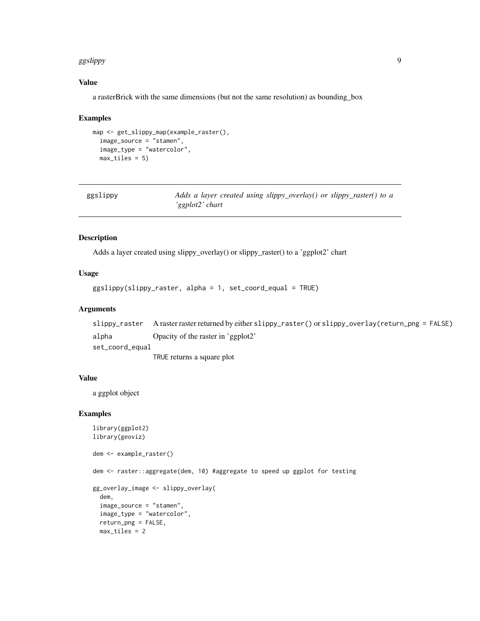#### <span id="page-8-0"></span>ggslippy and the set of the set of the set of the set of the set of the set of the set of the set of the set of the set of the set of the set of the set of the set of the set of the set of the set of the set of the set of

#### Value

a rasterBrick with the same dimensions (but not the same resolution) as bounding\_box

#### Examples

```
map <- get_slippy_map(example_raster(),
  image_source = "stamen",
  image_type = "watercolor",
  max_tiles = 5)
```

| ggslippy | Adds a layer created using slippy_overlay() or slippy_raster() to a |
|----------|---------------------------------------------------------------------|
|          | 'ggplot2' chart                                                     |

## Description

Adds a layer created using slippy\_overlay() or slippy\_raster() to a 'ggplot2' chart

#### Usage

ggslippy(slippy\_raster, alpha = 1, set\_coord\_equal = TRUE)

#### Arguments

```
slippy_raster A raster raster returned by either slippy_raster() or slippy_overlay(return_png = FALSE)
alpha Opacity of the raster in 'ggplot2'
set_coord_equal
```
TRUE returns a square plot

#### Value

a ggplot object

#### Examples

```
library(ggplot2)
library(geoviz)
dem <- example_raster()
dem <- raster::aggregate(dem, 10) #aggregate to speed up ggplot for testing
gg_overlay_image <- slippy_overlay(
  dem,
  image_source = "stamen",
  image_type = "watercolor",
  return_png = FALSE,
  max_tiles = 2
```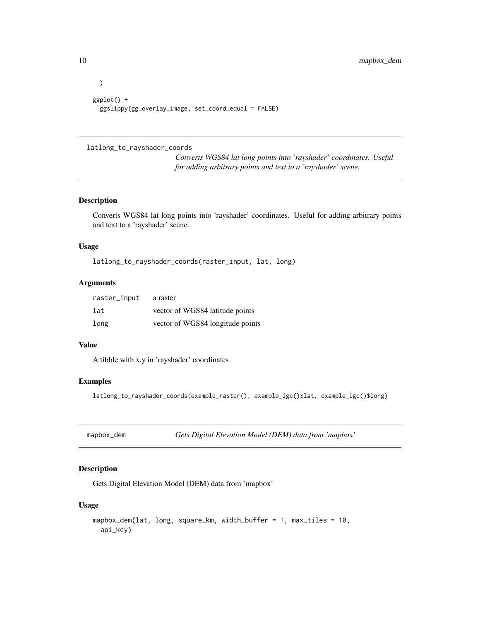```
)
ggplot() +
 ggslippy(gg_overlay_image, set_coord_equal = FALSE)
```
## latlong\_to\_rayshader\_coords

*Converts WGS84 lat long points into 'rayshader' coordinates. Useful for adding arbitrary points and text to a 'rayshader' scene.*

#### Description

Converts WGS84 lat long points into 'rayshader' coordinates. Useful for adding arbitrary points and text to a 'rayshader' scene.

## Usage

latlong\_to\_rayshader\_coords(raster\_input, lat, long)

#### Arguments

| raster_input | a raster                         |
|--------------|----------------------------------|
| lat          | vector of WGS84 latitude points  |
| long         | vector of WGS84 longitude points |

#### Value

A tibble with x,y in 'rayshader' coordinates

#### Examples

latlong\_to\_rayshader\_coords(example\_raster(), example\_igc()\$lat, example\_igc()\$long)

|  | mapbox_dem |  |
|--|------------|--|
|--|------------|--|

mapbox\_dem *Gets Digital Elevation Model (DEM) data from 'mapbox'*

## Description

Gets Digital Elevation Model (DEM) data from 'mapbox'

```
mapbox_dem(lat, long, square_km, width_buffer = 1, max_tiles = 10,
 api_key)
```
<span id="page-9-0"></span>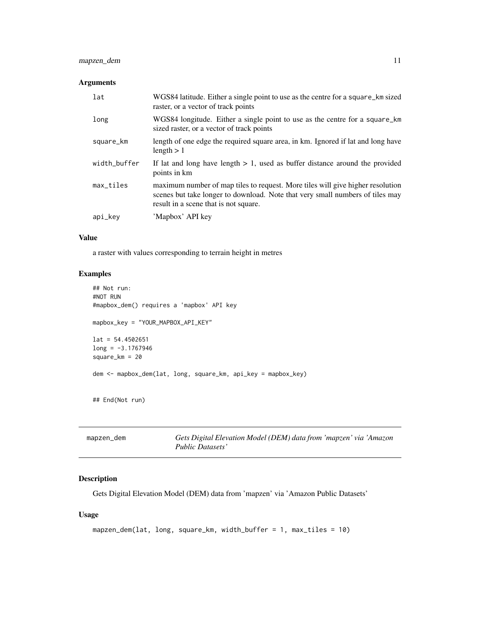## <span id="page-10-0"></span>mapzen\_dem 11

#### Arguments

| lat          | WGS84 latitude. Either a single point to use as the centre for a square_km sized<br>raster, or a vector of track points                                                                                  |
|--------------|----------------------------------------------------------------------------------------------------------------------------------------------------------------------------------------------------------|
| long         | WGS84 longitude. Either a single point to use as the centre for a square_km<br>sized raster, or a vector of track points                                                                                 |
| square_km    | length of one edge the required square area, in km. Ignored if lat and long have<br>length $> 1$                                                                                                         |
| width_buffer | If lat and long have length $> 1$ , used as buffer distance around the provided<br>points in km                                                                                                          |
| max_tiles    | maximum number of map tiles to request. More tiles will give higher resolution<br>scenes but take longer to download. Note that very small numbers of tiles may<br>result in a scene that is not square. |
| api_key      | 'Mapbox' API key                                                                                                                                                                                         |

## Value

a raster with values corresponding to terrain height in metres

## Examples

```
## Not run:
#NOT RUN
#mapbox_dem() requires a 'mapbox' API key
mapbox_key = "YOUR_MAPBOX_API_KEY"
lat = 54.4502651long = -3.1767946
square_km = 20
dem <- mapbox_dem(lat, long, square_km, api_key = mapbox_key)
## End(Not run)
```

| mapzen_dem | Gets Digital Elevation Model (DEM) data from 'mapzen' via 'Amazon |
|------------|-------------------------------------------------------------------|
|            | Public Datasets'                                                  |

## Description

Gets Digital Elevation Model (DEM) data from 'mapzen' via 'Amazon Public Datasets'

```
mapzen_dem(lat, long, square_km, width_buffer = 1, max_tiles = 10)
```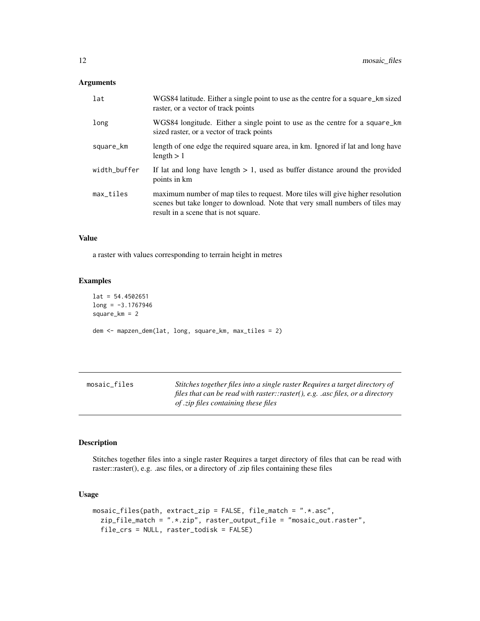## <span id="page-11-0"></span>Arguments

| lat          | WGS84 latitude. Either a single point to use as the centre for a square_km sized<br>raster, or a vector of track points                                                                                  |
|--------------|----------------------------------------------------------------------------------------------------------------------------------------------------------------------------------------------------------|
| long         | WGS84 longitude. Either a single point to use as the centre for a square_km<br>sized raster, or a vector of track points                                                                                 |
| square_km    | length of one edge the required square area, in km. Ignored if lat and long have<br>length $> 1$                                                                                                         |
| width_buffer | If lat and long have length $> 1$ , used as buffer distance around the provided<br>points in km                                                                                                          |
| $max\_tiles$ | maximum number of map tiles to request. More tiles will give higher resolution<br>scenes but take longer to download. Note that very small numbers of tiles may<br>result in a scene that is not square. |

#### Value

a raster with values corresponding to terrain height in metres

#### Examples

```
lat = 54.4502651
long = -3.1767946
square_km = 2
dem <- mapzen_dem(lat, long, square_km, max_tiles = 2)
```

| mosaic files | Stitches together files into a single raster Requires a target directory of   |
|--------------|-------------------------------------------------------------------------------|
|              | files that can be read with raster::raster(), e.g. .asc files, or a directory |
|              | of <i>zip</i> files containing these files                                    |

## Description

Stitches together files into a single raster Requires a target directory of files that can be read with raster::raster(), e.g. .asc files, or a directory of .zip files containing these files

```
mosaic_files(path, extract_zip = FALSE, file_match = ".*.asc",
 zip_file_match = ".*.zip", raster_output_file = "mosaic_out.raster",
 file_crs = NULL, raster_todisk = FALSE)
```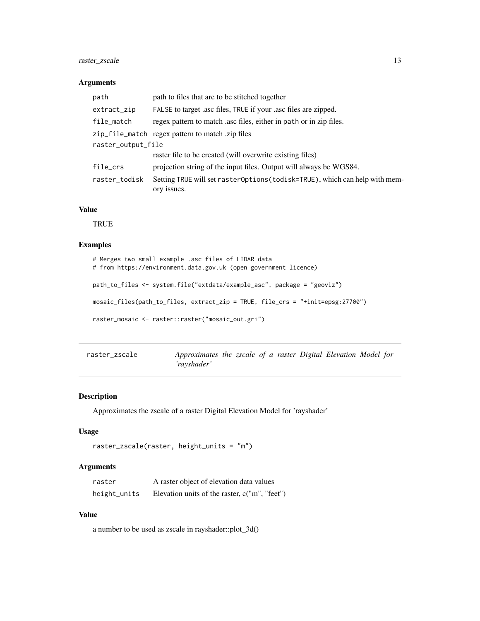## <span id="page-12-0"></span>raster\_zscale 13

#### Arguments

| path               | path to files that are to be stitched together                                             |
|--------------------|--------------------------------------------------------------------------------------------|
| extract_zip        | FALSE to target asc files, TRUE if your asc files are zipped.                              |
| file_match         | regex pattern to match asc files, either in path or in zip files.                          |
|                    | zip_file_match regex pattern to match .zip files                                           |
| raster_output_file |                                                                                            |
|                    | raster file to be created (will overwrite existing files)                                  |
| file_crs           | projection string of the input files. Output will always be WGS84.                         |
| raster_todisk      | Setting TRUE will set raster0ptions (todisk=TRUE), which can help with mem-<br>ory issues. |

## Value

TRUE

## Examples

```
# Merges two small example .asc files of LIDAR data
# from https://environment.data.gov.uk (open government licence)
path_to_files <- system.file("extdata/example_asc", package = "geoviz")
mosaic_files(path_to_files, extract_zip = TRUE, file_crs = "+init=epsg:27700")
raster_mosaic <- raster::raster("mosaic_out.gri")
```

| raster zscale | Approximates the zscale of a raster Digital Elevation Model for |  |  |  |  |  |
|---------------|-----------------------------------------------------------------|--|--|--|--|--|
|               | 'rayshader'                                                     |  |  |  |  |  |

## Description

Approximates the zscale of a raster Digital Elevation Model for 'rayshader'

#### Usage

```
raster_zscale(raster, height_units = "m")
```
#### Arguments

| raster       | A raster object of elevation data values        |
|--------------|-------------------------------------------------|
| height_units | Elevation units of the raster, $c("m", "feet")$ |

## Value

a number to be used as zscale in rayshader::plot\_3d()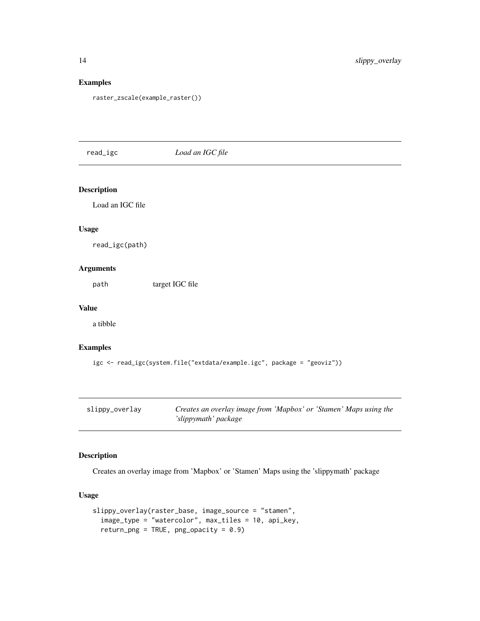## Examples

raster\_zscale(example\_raster())

## read\_igc *Load an IGC file*

## Description

Load an IGC file

## Usage

read\_igc(path)

#### Arguments

path target IGC file

#### Value

a tibble

## Examples

```
igc <- read_igc(system.file("extdata/example.igc", package = "geoviz"))
```

| slippy_overlay | Creates an overlay image from 'Mapbox' or 'Stamen' Maps using the |
|----------------|-------------------------------------------------------------------|
|                | 'slippymath' package                                              |

## Description

Creates an overlay image from 'Mapbox' or 'Stamen' Maps using the 'slippymath' package

```
slippy_overlay(raster_base, image_source = "stamen",
  image_type = "watercolor", max_tiles = 10, api_key,
  return\_png = TRUE, png\_opacity = 0.9)
```
<span id="page-13-0"></span>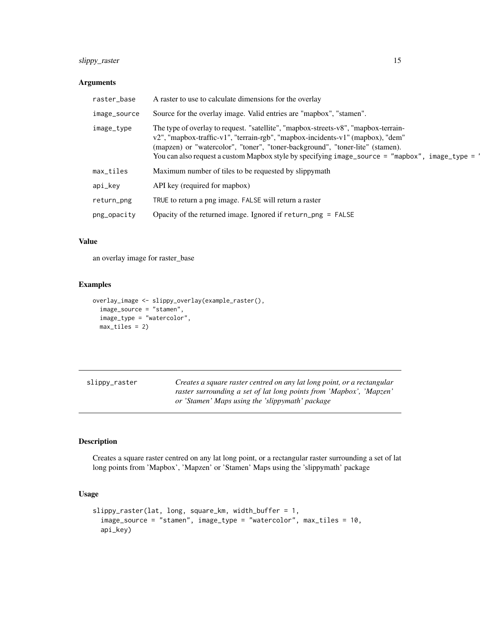## <span id="page-14-0"></span>slippy\_raster 15

#### Arguments

| raster_base  | A raster to use to calculate dimensions for the overlay                                                                                                                                                                                                                                                                                                 |
|--------------|---------------------------------------------------------------------------------------------------------------------------------------------------------------------------------------------------------------------------------------------------------------------------------------------------------------------------------------------------------|
| image_source | Source for the overlay image. Valid entries are "mapbox", "stamen".                                                                                                                                                                                                                                                                                     |
| image_type   | The type of overlay to request. "satellite", "mapbox-streets-v8", "mapbox-terrain-<br>v2", "mapbox-traffic-v1", "terrain-rgb", "mapbox-incidents-v1" (mapbox), "dem"<br>(mapzen) or "watercolor", "toner", "toner-background", "toner-lite" (stamen).<br>You can also request a custom Mapbox style by specifying image_source = "mapbox", image_type = |
| max_tiles    | Maximum number of tiles to be requested by slippymath                                                                                                                                                                                                                                                                                                   |
| api_kev      | API key (required for mapbox)                                                                                                                                                                                                                                                                                                                           |
| return_png   | TRUE to return a png image. FALSE will return a raster                                                                                                                                                                                                                                                                                                  |
| png_opacity  | Opacity of the returned image. Ignored if $return\_png = FALSE$                                                                                                                                                                                                                                                                                         |

## Value

an overlay image for raster\_base

## Examples

```
overlay_image <- slippy_overlay(example_raster(),
  image_source = "stamen",
  image_type = "watercolor",
  max_tiles = 2)
```

| slippy_raster | Creates a square raster centred on any lat long point, or a rectangular |
|---------------|-------------------------------------------------------------------------|
|               | raster surrounding a set of lat long points from 'Mapbox', 'Mapzen'     |
|               | or 'Stamen' Maps using the 'slippymath' package                         |

#### Description

Creates a square raster centred on any lat long point, or a rectangular raster surrounding a set of lat long points from 'Mapbox', 'Mapzen' or 'Stamen' Maps using the 'slippymath' package

```
slippy_raster(lat, long, square_km, width_buffer = 1,
  image_source = "stamen", image_type = "watercolor", max_tiles = 10,
 api_key)
```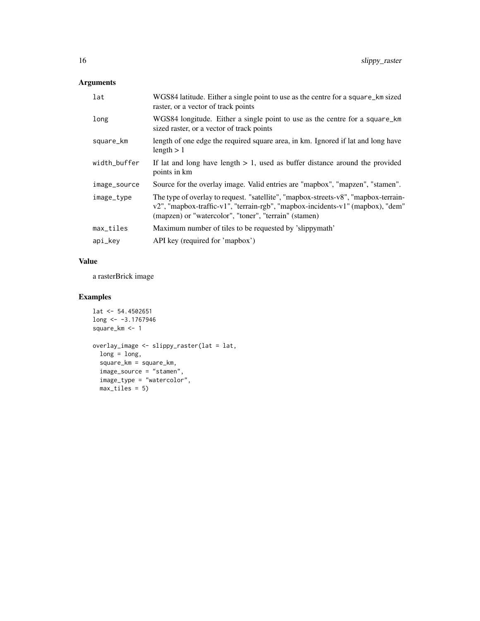## Arguments

| lat          | WGS84 latitude. Either a single point to use as the centre for a square_km sized<br>raster, or a vector of track points                                                                                                       |
|--------------|-------------------------------------------------------------------------------------------------------------------------------------------------------------------------------------------------------------------------------|
| long         | WGS84 longitude. Either a single point to use as the centre for a square_km<br>sized raster, or a vector of track points                                                                                                      |
| square_km    | length of one edge the required square area, in km. Ignored if lat and long have<br>length $> 1$                                                                                                                              |
| width_buffer | If lat and long have length $> 1$ , used as buffer distance around the provided<br>points in km                                                                                                                               |
| image_source | Source for the overlay image. Valid entries are "mapbox", "mapzen", "stamen".                                                                                                                                                 |
| image_type   | The type of overlay to request. "satellite", "mapbox-streets-v8", "mapbox-terrain-<br>v2", "mapbox-traffic-v1", "terrain-rgb", "mapbox-incidents-v1" (mapbox), "dem"<br>(mapzen) or "watercolor", "toner", "terrain" (stamen) |
| max_tiles    | Maximum number of tiles to be requested by 'slippymath'                                                                                                                                                                       |
| api_key      | API key (required for 'mapbox')                                                                                                                                                                                               |

## Value

a rasterBrick image

## Examples

```
lat <- 54.4502651
long <- -3.1767946
square_km <- 1
```

```
overlay_image <- slippy_raster(lat = lat,
 long = long,
 square_km = square_km,
 image_source = "stamen",
 image_type = "watercolor",
 max\_tiles = 5
```